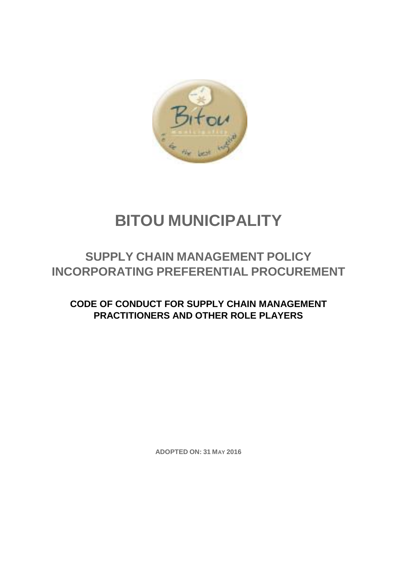

# **BITOU MUNICIPALITY**

## **SUPPLY CHAIN MANAGEMENT POLICY INCORPORATING PREFERENTIAL PROCUREMENT**

### **CODE OF CONDUCT FOR SUPPLY CHAIN MANAGEMENT PRACTITIONERS AND OTHER ROLE PLAYERS**

**ADOPTED ON: 31 MAY 2016**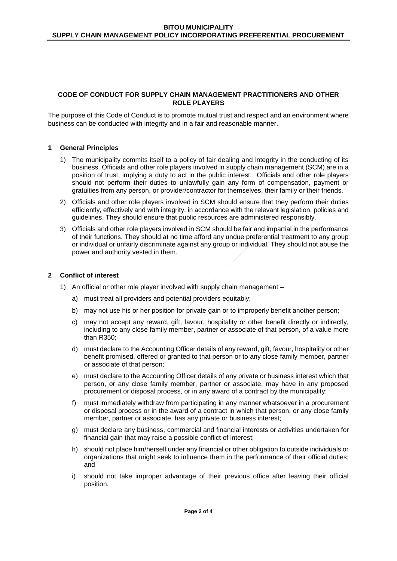#### **CODE OF CONDUCT FOR SUPPLY CHAIN MANAGEMENT PRACTITIONERS AND OTHER ROLE PLAYERS**

The purpose of this Code of Conduct is to promote mutual trust and respect and an environment where business can be conducted with integrity and in a fair and reasonable manner.

#### **1 General Principles**

- 1) The municipality commits itself to a policy of fair dealing and integrity in the conducting of its business. Officials and other role players involved in supply chain management (SCM) are in a position of trust, implying a duty to act in the public interest. Officials and other role players should not perform their duties to unlawfully gain any form of compensation, payment or gratuities from any person, or provider/contractor for themselves, their family or their friends.
- 2) Officials and other role players involved in SCM should ensure that they perform their duties efficiently, effectively and with integrity, in accordance with the relevant legislation, policies and guidelines. They should ensure that public resources are administered responsibly.
- 3) Officials and other role players involved in SCM should be fair and impartial in the performance of their functions. They should at no time afford any undue preferential treatment to any group or individual or unfairly discriminate against any group or individual. They should not abuse the power and authority vested in them.

#### **2 Conflict of interest**

- 1) An official or other role player involved with supply chain management
	- a) must treat all providers and potential providers equitably;
	- b) may not use his or her position for private gain or to improperly benefit another person;
	- c) may not accept any reward, gift, favour, hospitality or other benefit directly or indirectly, including to any close family member, partner or associate of that person, of a value more than R350;
	- d) must declare to the Accounting Officer details of any reward, gift, favour, hospitality or other benefit promised, offered or granted to that person or to any close family member, partner or associate of that person;
	- e) must declare to the Accounting Officer details of any private or business interest which that person, or any close family member, partner or associate, may have in any proposed procurement or disposal process, or in any award of a contract by the municipality;
	- f) must immediately withdraw from participating in any manner whatsoever in a procurement or disposal process or in the award of a contract in which that person, or any close family member, partner or associate, has any private or business interest;
	- g) must declare any business, commercial and financial interests or activities undertaken for financial gain that may raise a possible conflict of interest;
	- h) should not place him/herself under any financial or other obligation to outside individuals or organizations that might seek to influence them in the performance of their official duties; and
	- i) should not take improper advantage of their previous office after leaving their official position.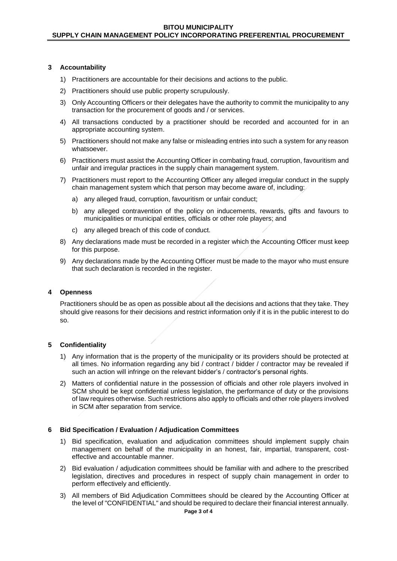#### **3 Accountability**

- 1) Practitioners are accountable for their decisions and actions to the public.
- 2) Practitioners should use public property scrupulously.
- 3) Only Accounting Officers or their delegates have the authority to commit the municipality to any transaction for the procurement of goods and / or services.
- 4) All transactions conducted by a practitioner should be recorded and accounted for in an appropriate accounting system.
- 5) Practitioners should not make any false or misleading entries into such a system for any reason whatsoever.
- 6) Practitioners must assist the Accounting Officer in combating fraud, corruption, favouritism and unfair and irregular practices in the supply chain management system.
- 7) Practitioners must report to the Accounting Officer any alleged irregular conduct in the supply chain management system which that person may become aware of, including:
	- a) any alleged fraud, corruption, favouritism or unfair conduct;
	- b) any alleged contravention of the policy on inducements, rewards, gifts and favours to municipalities or municipal entities, officials or other role players; and
	- c) any alleged breach of this code of conduct.
- 8) Any declarations made must be recorded in a register which the Accounting Officer must keep for this purpose.
- 9) Any declarations made by the Accounting Officer must be made to the mayor who must ensure that such declaration is recorded in the register.

#### **4 Openness**

Practitioners should be as open as possible about all the decisions and actions that they take. They should give reasons for their decisions and restrict information only if it is in the public interest to do so.

#### **5 Confidentiality**

- 1) Any information that is the property of the municipality or its providers should be protected at all times. No information regarding any bid / contract / bidder / contractor may be revealed if such an action will infringe on the relevant bidder's / contractor's personal rights.
- 2) Matters of confidential nature in the possession of officials and other role players involved in SCM should be kept confidential unless legislation, the performance of duty or the provisions of law requires otherwise. Such restrictions also apply to officials and other role players involved in SCM after separation from service.

#### **6 Bid Specification / Evaluation / Adjudication Committees**

- 1) Bid specification, evaluation and adjudication committees should implement supply chain management on behalf of the municipality in an honest, fair, impartial, transparent, costeffective and accountable manner.
- 2) Bid evaluation / adjudication committees should be familiar with and adhere to the prescribed legislation, directives and procedures in respect of supply chain management in order to perform effectively and efficiently.
- 3) All members of Bid Adjudication Committees should be cleared by the Accounting Officer at the level of "CONFIDENTIAL" and should be required to declare their financial interest annually.